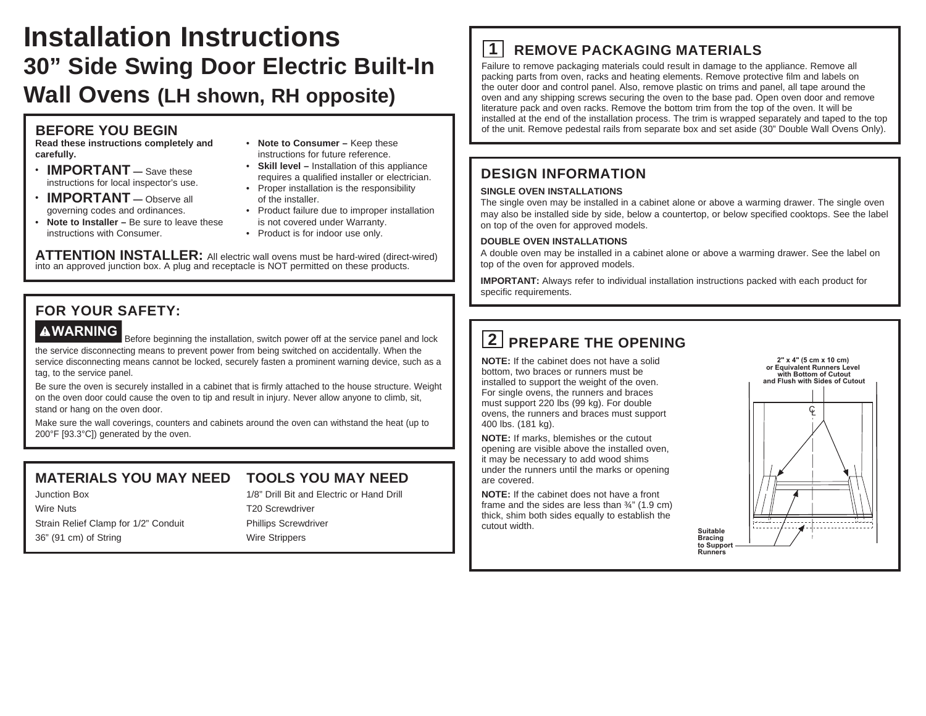# **Installation Instructions 30" Side Swing Door Electric Built-In Wall Ovens (LH shown, RH opposite)**

### **BEFORE YOU BEGIN**

**Read these instructions completely and carefully.**

- **IMPORTANT —** Save these instructions for local inspector's use.
- **IMPORTANT —** Observe all governing codes and ordinances.
- **Note to Installer –** Be sure to leave these instructions with Consumer.
- **Note to Consumer –** Keep these instructions for future reference.
- **Skill level –** Installation of this appliance requires a qualified installer or electrician.
- Proper installation is the responsibility of the installer.
- Product failure due to improper installation is not covered under Warranty.
- Product is for indoor use only.

**ATTENTION INSTALLER:** All electric wall ovens must be hard-wired (direct-wired) into an approved junction box. A plug and receptacle is NOT permitted on these products.

## **FOR YOUR SAFETY:**

**AWARNING** Before beginning the installation, switch power off at the service panel and lock the service disconnecting means to prevent power from being switched on accidentally. When the service disconnecting means cannot be locked, securely fasten a prominent warning device, such as a tag, to the service panel.

Be sure the oven is securely installed in a cabinet that is firmly attached to the house structure. Weight on the oven door could cause the oven to tip and result in injury. Never allow anyone to climb, sit, stand or hang on the oven door.

Make sure the wall coverings, counters and cabinets around the oven can withstand the heat (up to 200°F [93.3°C]) generated by the oven.

## **MATERIALS YOU MAY NEED**

Junction Box Wire Nuts Strain Relief Clamp for 1/2" Conduit 36" (91 cm) of String

## **TOOLS YOU MAY NEED**

1/8" Drill Bit and Electric or Hand Drill T20 Screwdriver Phillips Screwdriver Wire Strippers

# **1 REMOVE PACKAGING MATERIALS**

Failure to remove packaging materials could result in damage to the appliance. Remove all packing parts from oven, racks and heating elements. Remove protective film and labels on the outer door and control panel. Also, remove plastic on trims and panel, all tape around the oven and any shipping screws securing the oven to the base pad. Open oven door and remove literature pack and oven racks. Remove the bottom trim from the top of the oven. It will be installed at the end of the installation process. The trim is wrapped separately and taped to the top of the unit. Remove pedestal rails from separate box and set aside (30" Double Wall Ovens Only).

### **DESIGN INFORMATION**

#### **SINGLE OVEN INSTALLATIONS**

The single oven may be installed in a cabinet alone or above a warming drawer. The single oven may also be installed side by side, below a countertop, or below specified cooktops. See the label on top of the oven for approved models.

#### **DOUBLE OVEN INSTALLATIONS**

A double oven may be installed in a cabinet alone or above a warming drawer. See the label on top of the oven for approved models.

> **Suitable Bracing**

**Runners**

**IMPORTANT:** Always refer to individual installation instructions packed with each product for specific requirements.

# **2 PREPARE THE OPENING**

**NOTE:** If the cabinet does not have a solid bottom, two braces or runners must be installed to support the weight of the oven. For single ovens, the runners and braces must support 220 lbs (99 kg). For double ovens, the runners and braces must support 400 lbs. (181 kg).

**NOTE:** If marks, blemishes or the cutout opening are visible above the installed oven, it may be necessary to add wood shims under the runners until the marks or opening are covered.

**NOTE:** If the cabinet does not have a front frame and the sides are less than ¾" (1.9 cm) thick, shim both sides equally to establish the cutout width.

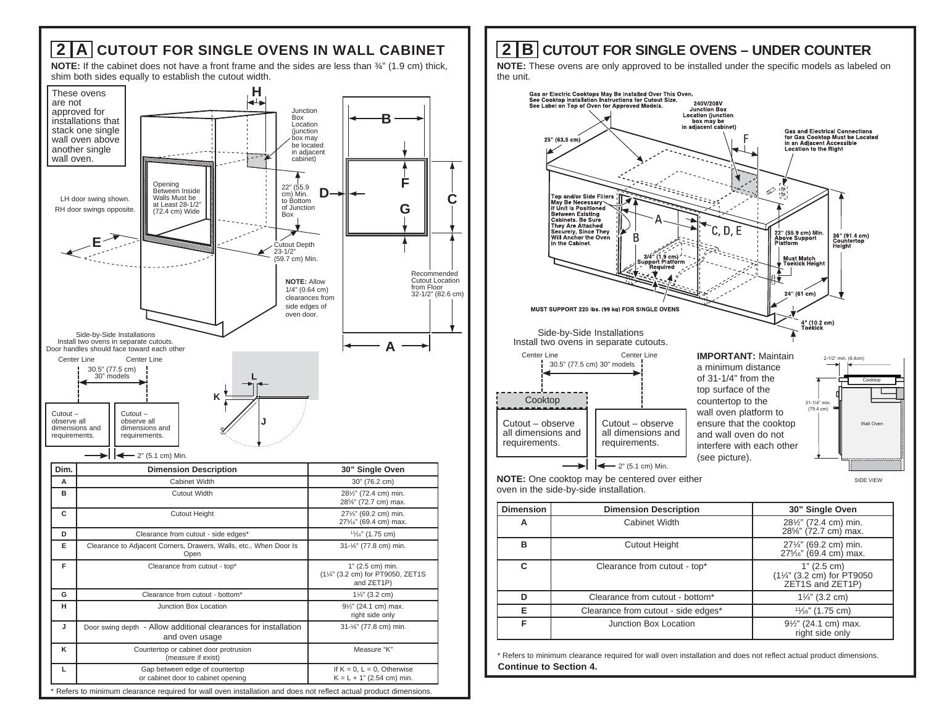

## **2 B CUTOUT FOR SINGLE OVENS – UNDER COUNTER**

**NOTE:** These ovens are only approved to be installed under the specific models as labeled on the unit.



|   |                                     | 28%" (72.7 cm) max.                                                                     |
|---|-------------------------------------|-----------------------------------------------------------------------------------------|
| в | <b>Cutout Height</b>                | 271/4" (69.2 cm) min.<br>27 <sup>5</sup> / <sub>6</sub> " (69.4 cm) max.                |
| C | Clearance from cutout - top*        | 1" (2.5 cm)<br>(11/4" (3.2 cm) for PT9050<br>ZET <sub>1</sub> S and ZET <sub>1</sub> P) |
|   | Clearance from cutout - bottom*     | $1\frac{1}{4}$ " (3.2 cm)                                                               |
|   | Clearance from cutout - side edges* | $1\frac{1}{6}$ " (1.75 cm)                                                              |
|   | Junction Box Location               | 91/2" (24.1 cm) max.<br>right side only                                                 |

**Continue to Section 4.** \* Refers to minimum clearance required for wall oven installation and does not reflect actual product dimensions.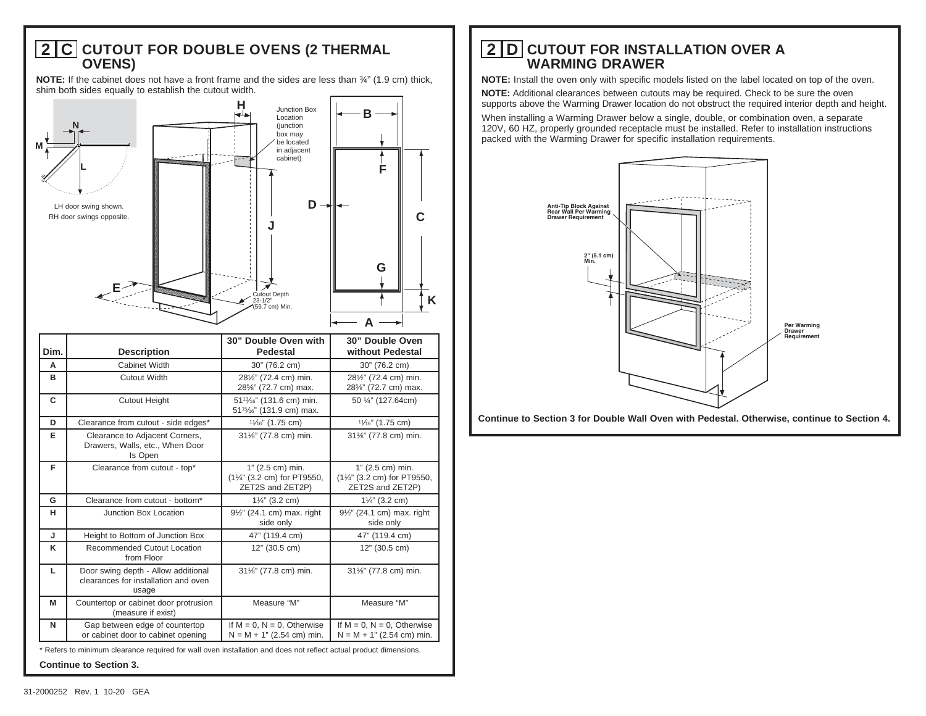#### **2 C CUTOUT FOR DOUBLE OVENS (2 THERMAL OVENS)**

**NOTE:** If the cabinet does not have a front frame and the sides are less than  $\frac{3}{4}$ " (1.9 cm) thick, shim both sides equally to establish the cutout width.



| Dim.                                                                                                                                               | <b>Description</b>                                                                   | 30" Double Oven with<br>Pedestal                                                                        | 30" Double Oven<br>without Pedestal                                   |
|----------------------------------------------------------------------------------------------------------------------------------------------------|--------------------------------------------------------------------------------------|---------------------------------------------------------------------------------------------------------|-----------------------------------------------------------------------|
| A                                                                                                                                                  | Cabinet Width                                                                        | 30" (76.2 cm)                                                                                           | 30" (76.2 cm)                                                         |
| в                                                                                                                                                  | <b>Cutout Width</b>                                                                  | 281/2" (72.4 cm) min.<br>28%" (72.7 cm) max.                                                            | 281/2" (72.4 cm) min.<br>28%" (72.7 cm) max.                          |
| C                                                                                                                                                  | <b>Cutout Height</b>                                                                 | 51 <sup>13</sup> / <sub>16</sub> " (131.6 cm) min.<br>51 <sup>15</sup> / <sub>6</sub> " (131.9 cm) max. | 50 1/4" (127.64cm)                                                    |
| D                                                                                                                                                  | Clearance from cutout - side edges*                                                  | $1\frac{1}{6}$ " (1.75 cm)                                                                              | $1\frac{1}{6}$ " (1.75 cm)                                            |
| Е                                                                                                                                                  | Clearance to Adjacent Corners,<br>Drawers, Walls, etc., When Door<br>Is Open         | 31%" (77.8 cm) min.                                                                                     | 311/6" (77.8 cm) min.                                                 |
| F                                                                                                                                                  | Clearance from cutout - top*                                                         | 1" (2.5 cm) min.<br>(11/4" (3.2 cm) for PT9550,<br>ZET2S and ZET2P)                                     | $1"$ (2.5 cm) min.<br>(11/4" (3.2 cm) for PT9550,<br>ZET2S and ZET2P) |
| G                                                                                                                                                  | Clearance from cutout - bottom*                                                      | $1\frac{1}{4}$ " (3.2 cm)                                                                               | $1\frac{1}{4}$ " (3.2 cm)                                             |
| н                                                                                                                                                  | Junction Box Location                                                                | 91/2" (24.1 cm) max. right<br>side only                                                                 | 91/2" (24.1 cm) max. right<br>side only                               |
| J                                                                                                                                                  | Height to Bottom of Junction Box                                                     | 47" (119.4 cm)                                                                                          | 47" (119.4 cm)                                                        |
| κ                                                                                                                                                  | Recommended Cutout Location<br>from Floor                                            | $12"$ (30.5 cm)                                                                                         | $12"$ (30.5 cm)                                                       |
| L                                                                                                                                                  | Door swing depth - Allow additional<br>clearances for installation and oven<br>usage | 31%" (77.8 cm) min.                                                                                     | 31%" (77.8 cm) min.                                                   |
| М                                                                                                                                                  | Countertop or cabinet door protrusion<br>(measure if exist)                          | Measure "M"                                                                                             | Measure "M"                                                           |
| N                                                                                                                                                  | Gap between edge of countertop<br>or cabinet door to cabinet opening                 | If $M = 0$ , $N = 0$ , Otherwise<br>$N = M + 1" (2.54 cm) min.$                                         | If $M = 0$ , $N = 0$ , Otherwise<br>$N = M + 1" (2.54 cm) min.$       |
| * Refers to minimum clearance required for wall oven installation and does not reflect actual product dimensions.<br><b>Continue to Section 3.</b> |                                                                                      |                                                                                                         |                                                                       |

## **2 D CUTOUT FOR INSTALLATION OVER A WARMING DRAWER**

**NOTE:** Install the oven only with specific models listed on the label located on top of the oven.

**NOTE:** Additional clearances between cutouts may be required. Check to be sure the oven supports above the Warming Drawer location do not obstruct the required interior depth and height.

When installing a Warming Drawer below a single, double, or combination oven, a separate 120V, 60 HZ, properly grounded receptacle must be installed. Refer to installation instructions packed with the Warming Drawer for specific installation requirements.



**Continue to Section 3 for Double Wall Oven with Pedestal. Otherwise, continue to Section 4.**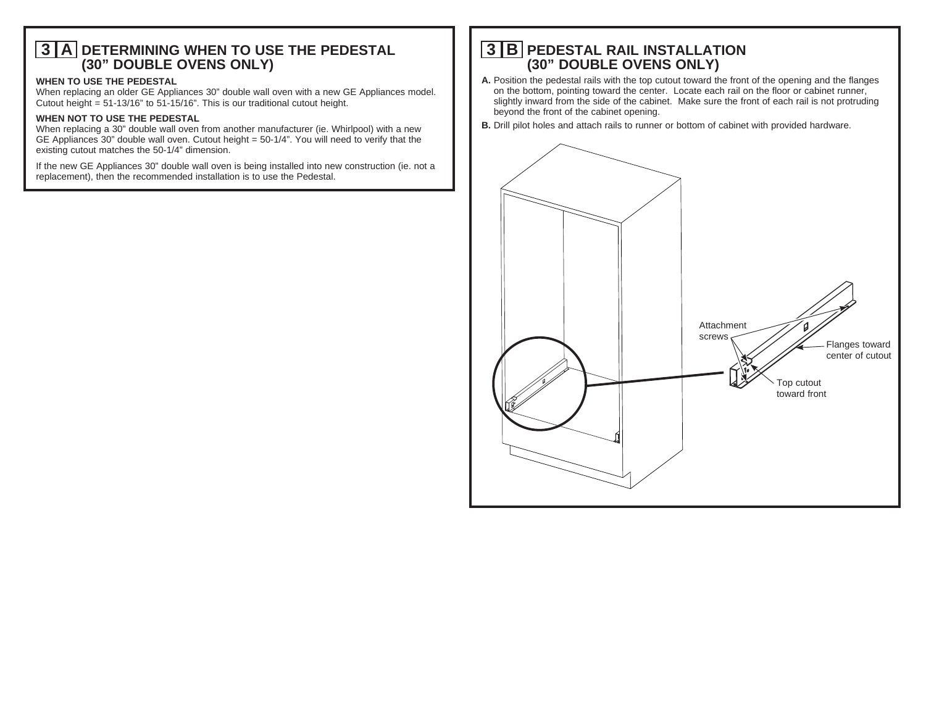#### **3 A DETERMINING WHEN TO USE THE PEDESTAL (30" DOUBLE OVENS ONLY)**

#### **WHEN TO USE THE PEDESTAL**

When replacing an older GE Appliances 30" double wall oven with a new GE Appliances model. Cutout height = 51-13/16" to 51-15/16". This is our traditional cutout height.

#### **WHEN NOT TO USE THE PEDESTAL**

When replacing a 30" double wall oven from another manufacturer (ie. Whirlpool) with a new GE Appliances 30" double wall oven. Cutout height = 50-1/4". You will need to verify that the existing cutout matches the 50-1/4" dimension.

If the new GE Appliances 30" double wall oven is being installed into new construction (ie. not a replacement), then the recommended installation is to use the Pedestal.

## **3 B PEDESTAL RAIL INSTALLATION (30" DOUBLE OVENS ONLY)**

- **A.** Position the pedestal rails with the top cutout toward the front of the opening and the flanges on the bottom, pointing toward the center. Locate each rail on the floor or cabinet runner, slightly inward from the side of the cabinet. Make sure the front of each rail is not protruding beyond the front of the cabinet opening.
- **B.** Drill pilot holes and attach rails to runner or bottom of cabinet with provided hardware.

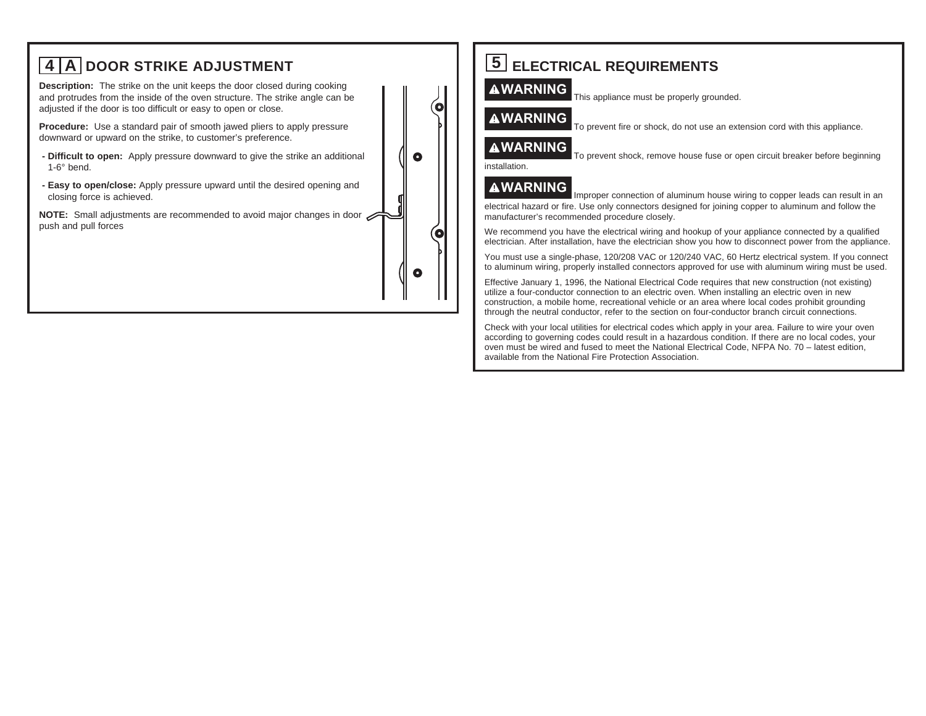

Check with your local utilities for electrical codes which apply in your area. Failure to wire your oven according to governing codes could result in a hazardous condition. If there are no local codes, your oven must be wired and fused to meet the National Electrical Code, NFPA No. 70 – latest edition, available from the National Fire Protection Association.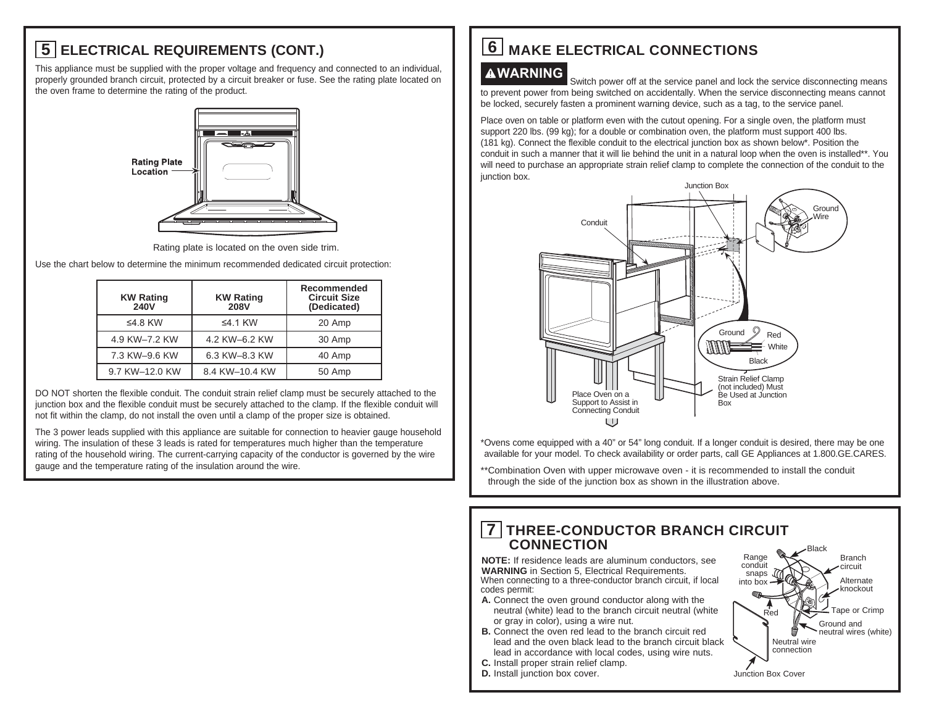# **5 ELECTRICAL REQUIREMENTS (CONT.)**

This appliance must be supplied with the proper voltage and frequency and connected to an individual, properly grounded branch circuit, protected by a circuit breaker or fuse. See the rating plate located on the oven frame to determine the rating of the product.



Rating plate is located on the oven side trim.

Use the chart below to determine the minimum recommended dedicated circuit protection:

| <b>KW Rating</b><br><b>240V</b> | <b>KW Rating</b><br><b>208V</b> | Recommended<br><b>Circuit Size</b><br>(Dedicated) |
|---------------------------------|---------------------------------|---------------------------------------------------|
| ≤4.8 KW                         | $\leq$ 4.1 KW                   | 20 Amp                                            |
| 4.9 KW-7.2 KW                   | 4.2 KW-6.2 KW                   | 30 Amp                                            |
| 7.3 KW-9.6 KW                   | 6.3 KW-8.3 KW                   | 40 Amp                                            |
| 9.7 KW-12.0 KW                  | 8.4 KW-10.4 KW                  | 50 Amp                                            |

DO NOT shorten the flexible conduit. The conduit strain relief clamp must be securely attached to the junction box and the flexible conduit must be securely attached to the clamp. If the flexible conduit will not fit within the clamp, do not install the oven until a clamp of the proper size is obtained.

The 3 power leads supplied with this appliance are suitable for connection to heavier gauge household wiring. The insulation of these 3 leads is rated for temperatures much higher than the temperature rating of the household wiring. The current-carrying capacity of the conductor is governed by the wire gauge and the temperature rating of the insulation around the wire.

# **6** MAKE ELECTRICAL CONNECTIONS

**AWARNING** Switch power off at the service panel and lock the service disconnecting means to prevent power from being switched on accidentally. When the service disconnecting means cannot be locked, securely fasten a prominent warning device, such as a tag, to the service panel.

Place oven on table or platform even with the cutout opening. For a single oven, the platform must support 220 lbs. (99 kg); for a double or combination oven, the platform must support 400 lbs. (181 kg). Connect the flexible conduit to the electrical junction box as shown below\*. Position the conduit in such a manner that it will lie behind the unit in a natural loop when the oven is installed\*\*. You will need to purchase an appropriate strain relief clamp to complete the connection of the conduit to the junction box.



\* Ovens come equipped with a 40" or 54" long conduit. If a longer conduit is desired, there may be one available for your model. To check availability or order parts, call GE Appliances at 1.800.GE.CARES.

\*\* Combination Oven with upper microwave oven - it is recommended to install the conduit through the side of the junction box as shown in the illustration above.

#### **7 THREE-CONDUCTOR BRANCH CIRCUIT CONNECTION**

**NOTE:** If residence leads are aluminum conductors, see **WARNING** in Section 5, Electrical Requirements. When connecting to a three-conductor branch circuit, if local codes permit:

- **A.** Connect the oven ground conductor along with the neutral (white) lead to the branch circuit neutral (white or gray in color), using a wire nut.
- **B.** Connect the oven red lead to the branch circuit red lead and the oven black lead to the branch circuit black lead in accordance with local codes, using wire nuts.
- **C.** Install proper strain relief clamp.
- **D.** Install junction box cover.

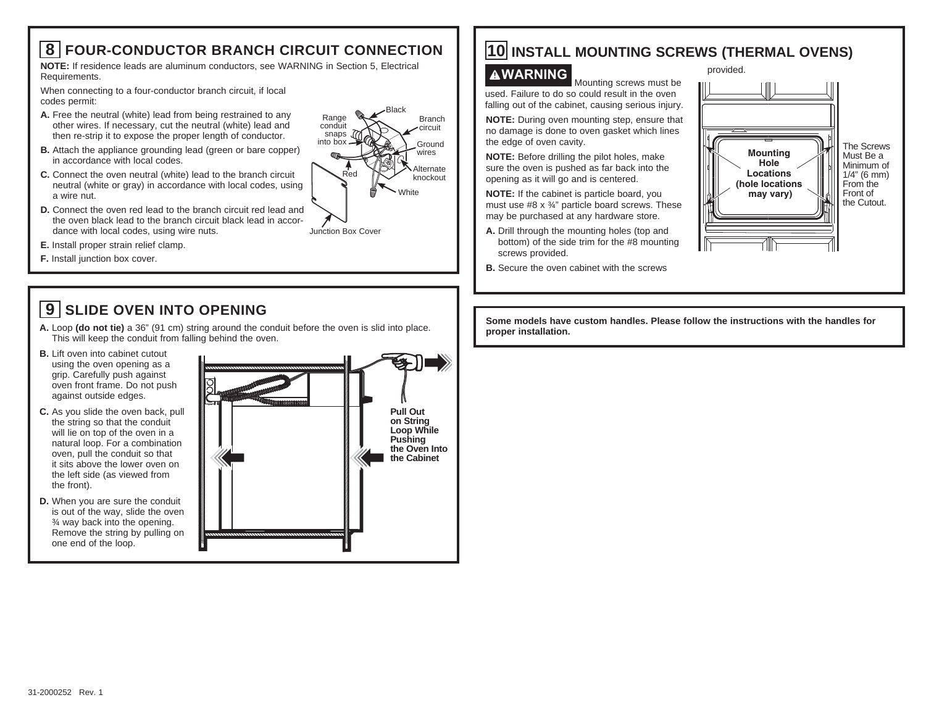## **8 FOUR-CONDUCTOR BRANCH CIRCUIT CONNECTION**

**NOTE:** If residence leads are aluminum conductors, see WARNING in Section 5, Electrical Requirements.

When connecting to a four-conductor branch circuit, if local codes permit:

- **A.** Free the neutral (white) lead from being restrained to any other wires. If necessary, cut the neutral (white) lead and then re-strip it to expose the proper length of conductor.
- **B.** Attach the appliance grounding lead (green or bare copper) in accordance with local codes.
- **C.** Connect the oven neutral (white) lead to the branch circuit neutral (white or gray) in accordance with local codes, using a wire nut.
- **D.** Connect the oven red lead to the branch circuit red lead and the oven black lead to the branch circuit black lead in accordance with local codes, using wire nuts. Junction Box Cover
- **E.** Install proper strain relief clamp.
- **F.** Install junction box cover.

# **9 SLIDE OVEN INTO OPENING**

- **A.** Loop **(do not tie)** a 36" (91 cm) string around the conduit before the oven is slid into place. This will keep the conduit from falling behind the oven.
- **B.** Lift oven into cabinet cutout using the oven opening as a grip. Carefully push against oven front frame. Do not push against outside edges.
- **C.** As you slide the oven back, pull the string so that the conduit will lie on top of the oven in a natural loop. For a combination oven, pull the conduit so that it sits above the lower oven on the left side (as viewed from the front).
- **D.** When you are sure the conduit is out of the way, slide the oven ¾ way back into the opening. Remove the string by pulling on one end of the loop.



## **10 INSTALL MOUNTING SCREWS (THERMAL OVENS)**

White

Black

Branch circuit Ground wires Alternate knockout

Red

Range conduit snaps into box

**WARNING** Mounting screws must be used. Failure to do so could result in the oven falling out of the cabinet, causing serious injury. **NOTE:** During oven mounting step, ensure that no damage is done to oven gasket which lines the edge of oven cavity.

**NOTE:** Before drilling the pilot holes, make sure the oven is pushed as far back into the opening as it will go and is centered.

**NOTE:** If the cabinet is particle board, you must use #8 x ¾" particle board screws. These may be purchased at any hardware store.

- **A.** Drill through the mounting holes (top and bottom) of the side trim for the #8 mounting screws provided.
- **B.** Secure the oven cabinet with the screws



**Some models have custom handles. Please follow the instructions with the handles for proper installation.**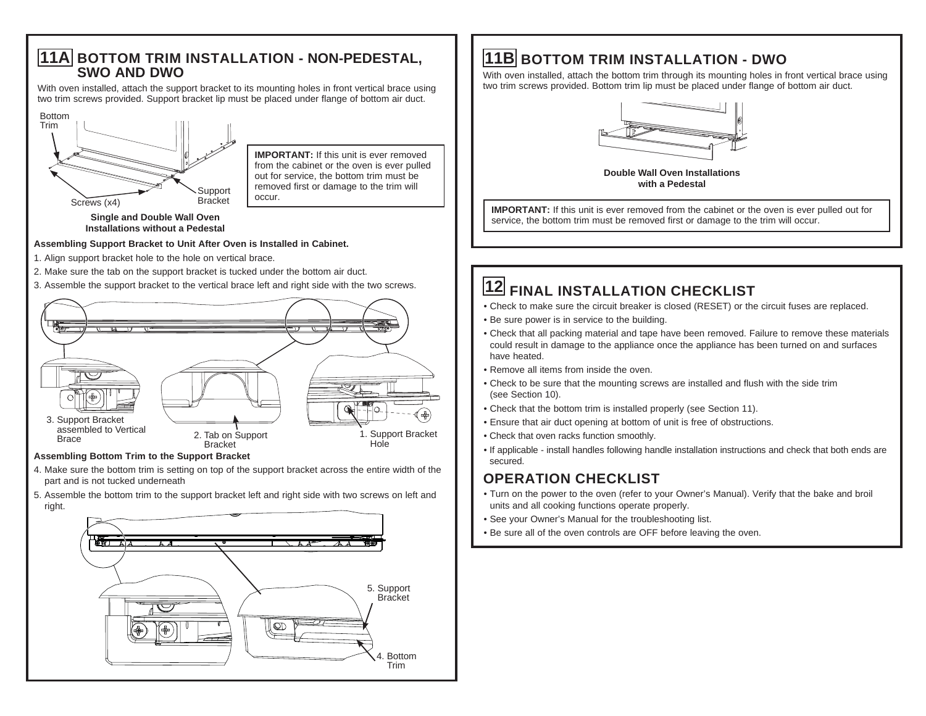#### **11A BOTTOM TRIM INSTALLATION - NON-PEDESTAL, SWO AND DWO**

With oven installed, attach the support bracket to its mounting holes in front vertical brace using two trim screws provided. Support bracket lip must be placed under flange of bottom air duct.



**IMPORTANT:** If this unit is ever removed from the cabinet or the oven is ever pulled out for service, the bottom trim must be removed first or damage to the trim will occur.

**Single and Double Wall Oven Installations without a Pedestal**

#### **Assembling Support Bracket to Unit After Oven is Installed in Cabinet.**

- 1. Align support bracket hole to the hole on vertical brace.
- 2. Make sure the tab on the support bracket is tucked under the bottom air duct.
- 3. Assemble the support bracket to the vertical brace left and right side with the two screws.



#### **Assembling Bottom Trim to the Support Bracket**

- 4. Make sure the bottom trim is setting on top of the support bracket across the entire width of the part and is not tucked underneath
- 5. Assemble the bottom trim to the support bracket left and right side with two screws on left and right.



# **11B BOTTOM TRIM INSTALLATION - DWO**

With oven installed, attach the bottom trim through its mounting holes in front vertical brace using two trim screws provided. Bottom trim lip must be placed under flange of bottom air duct.



**Double Wall Oven Installations with a Pedestal**

**IMPORTANT:** If this unit is ever removed from the cabinet or the oven is ever pulled out for service, the bottom trim must be removed first or damage to the trim will occur.

# **12 FINAL INSTALLATION CHECKLIST**

- Check to make sure the circuit breaker is closed (RESET) or the circuit fuses are replaced.
- Be sure power is in service to the building.
- Check that all packing material and tape have been removed. Failure to remove these materials could result in damage to the appliance once the appliance has been turned on and surfaces have heated.
- Remove all items from inside the oven.
- Check to be sure that the mounting screws are installed and flush with the side trim (see Section 10).
- Check that the bottom trim is installed properly (see Section 11).
- Ensure that air duct opening at bottom of unit is free of obstructions.
- Check that oven racks function smoothly.
- If applicable install handles following handle installation instructions and check that both ends are secured.

## **OPERATION CHECKLIST**

- Turn on the power to the oven (refer to your Owner's Manual). Verify that the bake and broil units and all cooking functions operate properly.
- See your Owner's Manual for the troubleshooting list.
- Be sure all of the oven controls are OFF before leaving the oven.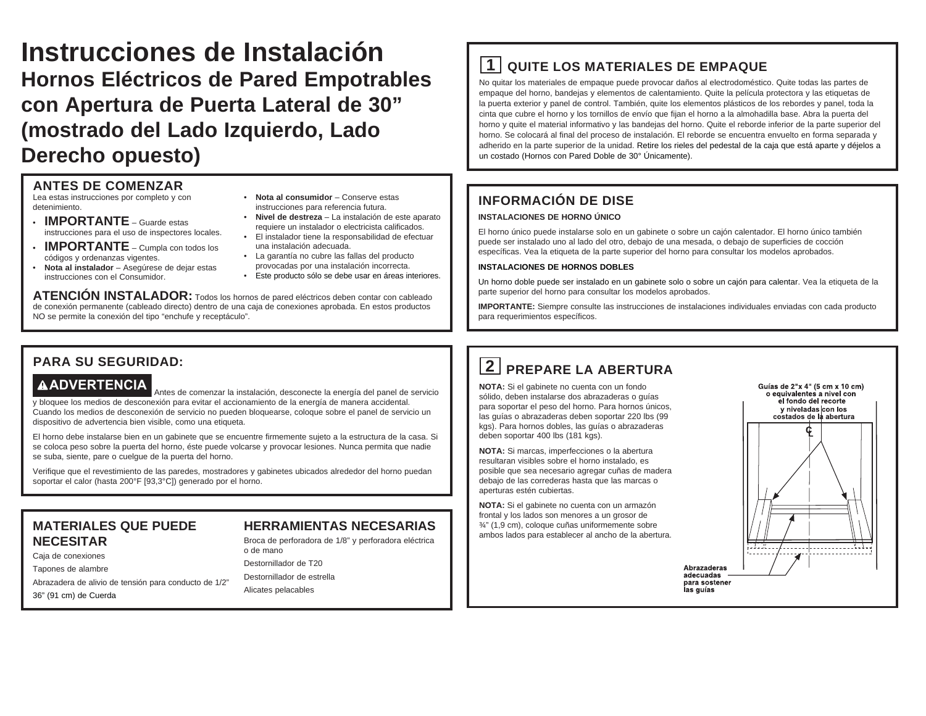# **Instrucciones de Instalación Hornos Eléctricos de Pared Empotrables con Apertura de Puerta Lateral de 30" (mostrado del Lado Izquierdo, Lado Derecho opuesto)**

#### **ANTES DE COMENZAR**

Lea estas instrucciones por completo y con detenimiento.

- **IMPORTANTE** Guarde estas instrucciones para el uso de inspectores locales.
- **IMPORTANTE** Cumpla con todos los códigos y ordenanzas vigentes.
- • **Nota al instalador** Asegúrese de dejar estas instrucciones con el Consumidor.
- **Nota al consumidor** Conserve estas instrucciones para referencia futura.
- **Nivel de destreza** La instalación de este aparato requiere un instalador o electricista calificados.
- El instalador tiene la responsabilidad de efectuar una instalación adecuada. • La garantía no cubre las fallas del producto
- provocadas por una instalación incorrecta.
- Este producto sólo se debe usar en áreas interiores.

**ATENCIÓN INSTALADOR:** Todos los hornos de pared eléctricos deben contar con cableado de conexión permanente (cableado directo) dentro de una caja de conexiones aprobada. En estos productos NO se permite la conexión del tipo "enchufe y receptáculo".

## **1 QUITE LOS MATERIALES DE EMPAQUE**

No quitar los materiales de empaque puede provocar daños al electrodoméstico. Quite todas las partes de empaque del horno, bandejas y elementos de calentamiento. Quite la película protectora y las etiquetas de la puerta exterior y panel de control. También, quite los elementos plásticos de los rebordes y panel, toda la cinta que cubre el horno y los tornillos de envío que fijan el horno a la almohadilla base. Abra la puerta del horno y quite el material informativo y las bandejas del horno. Quite el reborde inferior de la parte superior del horno. Se colocará al final del proceso de instalación. El reborde se encuentra envuelto en forma separada y adherido en la parte superior de la unidad. Retire los rieles del pedestal de la caja que está aparte y déjelos a un costado (Hornos con Pared Doble de 30° Únicamente).

### **INFORMACIÓN DE DISE**

#### **INSTALACIONES DE HORNO ÚNICO**

El horno único puede instalarse solo en un gabinete o sobre un cajón calentador. El horno único también puede ser instalado uno al lado del otro, debajo de una mesada, o debajo de superficies de cocción específicas. Vea la etiqueta de la parte superior del horno para consultar los modelos aprobados.

#### **INSTALACIONES DE HORNOS DOBLES**

Un horno doble puede ser instalado en un gabinete solo o sobre un cajón para calentar. Vea la etiqueta de la parte superior del horno para consultar los modelos aprobados.

**IMPORTANTE:** Siempre consulte las instrucciones de instalaciones individuales enviadas con cada producto para requerimientos específicos.

#### **PARA SU SEGURIDAD:**

**ADVERTENCIA** Antes de comenzar la instalación, desconecte la energía del panel de servicio y bloquee los medios de desconexión para evitar el accionamiento de la energía de manera accidental. Cuando los medios de desconexión de servicio no pueden bloquearse, coloque sobre el panel de servicio un dispositivo de advertencia bien visible, como una etiqueta.

El horno debe instalarse bien en un gabinete que se encuentre firmemente sujeto a la estructura de la casa. Si se coloca peso sobre la puerta del horno, éste puede volcarse y provocar lesiones. Nunca permita que nadie se suba, siente, pare o cuelgue de la puerta del horno.

Verifique que el revestimiento de las paredes, mostradores y gabinetes ubicados alrededor del horno puedan soportar el calor (hasta 200°F [93,3°C]) generado por el horno.

#### **MATERIALES QUE PUEDE NECESITAR**

#### **HERRAMIENTAS NECESARIAS**

#### Caja de conexiones

Tapones de alambre

Abrazadera de alivio de tensión para conducto de 1/2"

36" (91 cm) de Cuerda

Broca de perforadora de 1/8" y perforadora eléctrica o de mano Destornillador de T20

Destornillador de estrella

Alicates pelacables

# **2 PREPARE LA ABERTURA**

**NOTA:** Si el gabinete no cuenta con un fondo sólido, deben instalarse dos abrazaderas o guías para soportar el peso del horno. Para hornos únicos, las guías o abrazaderas deben soportar 220 lbs (99 kgs). Para hornos dobles, las guías o abrazaderas deben soportar 400 lbs (181 kgs).

**NOTA:** Si marcas, imperfecciones o la abertura resultaran visibles sobre el horno instalado, es posible que sea necesario agregar cuñas de madera debajo de las correderas hasta que las marcas o aperturas estén cubiertas.

**NOTA:** Si el gabinete no cuenta con un armazón frontal y los lados son menores a un grosor de ¾" (1,9 cm), coloque cuñas uniformemente sobre ambos lados para establecer al ancho de la abertura.



Abrazaderas adecuadas para sostener las guías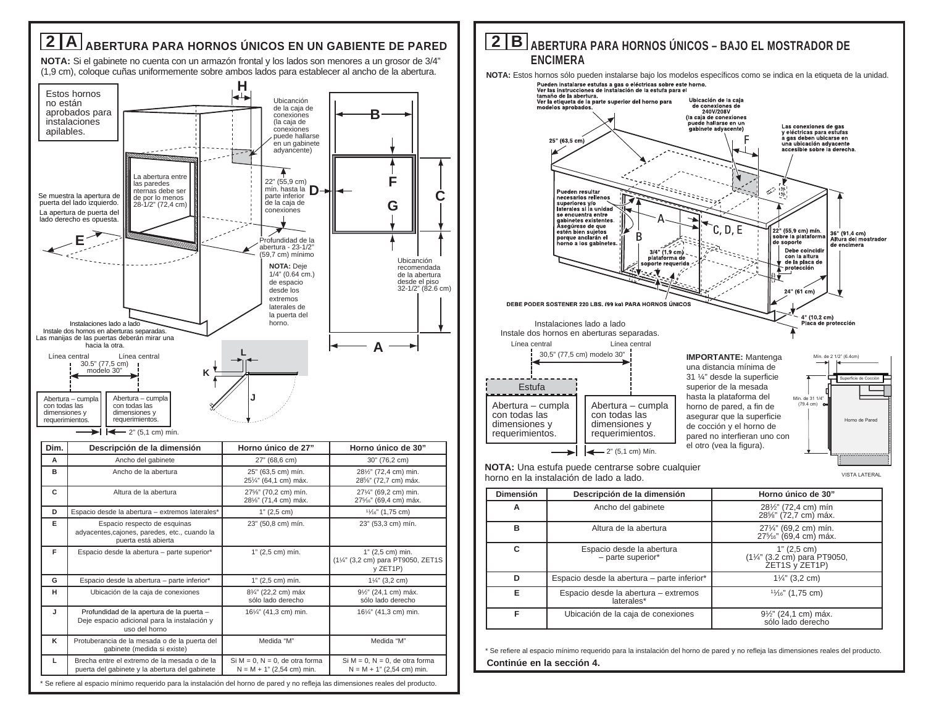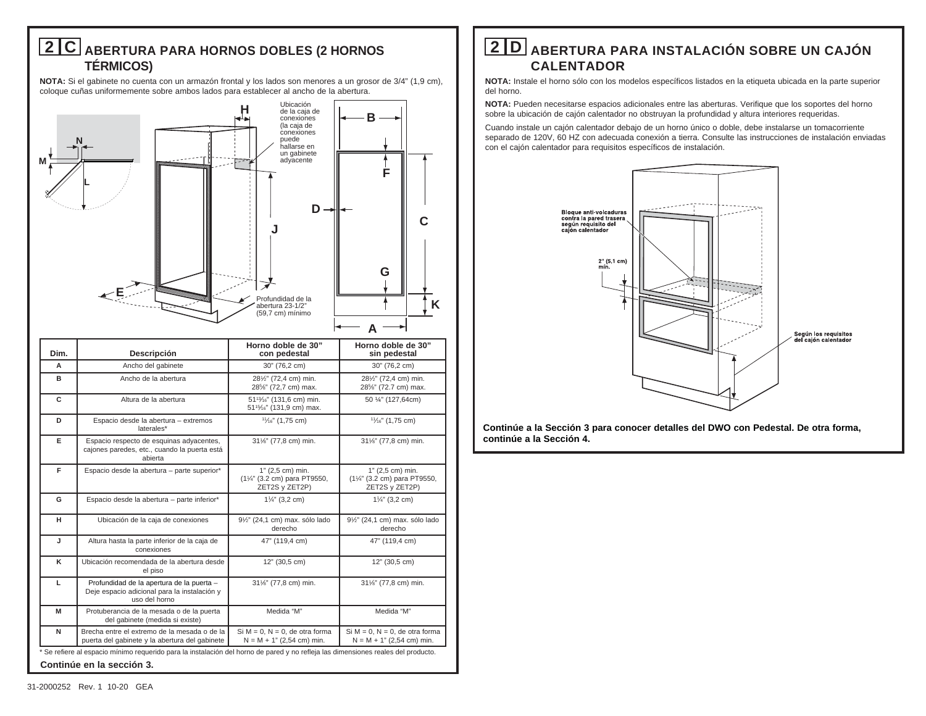## **2 C ABERTURA PARA HORNOS DOBLES (2 HORNOS TÉRMICOS)**

**NOTA:** Si el gabinete no cuenta con un armazón frontal y los lados son menores a un grosor de 3/4" (1,9 cm), coloque cuñas uniformemente sobre ambos lados para establecer al ancho de la abertura.



| Dim.                      | Descripción                                                                                                                     | Horno doble de 30"<br>con pedestal                                                                       | Horno doble de 30"<br>sin pedestal                                  |  |
|---------------------------|---------------------------------------------------------------------------------------------------------------------------------|----------------------------------------------------------------------------------------------------------|---------------------------------------------------------------------|--|
| A                         | Ancho del gabinete                                                                                                              | 30" (76,2 cm)                                                                                            | 30" (76,2 cm)                                                       |  |
| в                         | Ancho de la abertura                                                                                                            | 281/2" (72,4 cm) min.<br>28%" (72,7 cm) max.                                                             | 281/2" (72,4 cm) min.<br>28%" (72.7 cm) max.                        |  |
| C                         | Altura de la abertura                                                                                                           | 51 <sup>13</sup> / <sub>16</sub> " (131,6 cm) min.<br>51 <sup>15</sup> / <sub>16</sub> " (131,9 cm) max. | 50 1/4" (127,64cm)                                                  |  |
| D                         | Espacio desde la abertura - extremos<br>laterales*                                                                              | 11/ <sub>16</sub> " (1,75 cm)                                                                            | $1\frac{1}{6}$ " (1,75 cm)                                          |  |
| Е                         | Espacio respecto de esquinas adyacentes,<br>cajones paredes, etc., cuando la puerta está<br>abierta                             | 311/6" (77,8 cm) min.                                                                                    | 31%" (77,8 cm) min.                                                 |  |
| F                         | Espacio desde la abertura - parte superior*                                                                                     | 1" (2,5 cm) min.<br>(11/4" (3.2 cm) para PT9550,<br>ZET2S y ZET2P)                                       | 1" (2,5 cm) min.<br>(11/4" (3.2 cm) para PT9550,<br>ZET2S y ZET2P)  |  |
| G                         | Espacio desde la abertura - parte inferior*                                                                                     | $1\frac{1}{4}$ " (3,2 cm)                                                                                | $1\frac{1}{4}$ " (3,2 cm)                                           |  |
| н                         | Ubicación de la caja de conexiones                                                                                              | 91/2" (24,1 cm) max. sólo lado<br>derecho                                                                | 91/2" (24,1 cm) max. sólo lado<br>derecho                           |  |
| J                         | Altura hasta la parte inferior de la caja de<br>conexiones                                                                      | 47" (119,4 cm)                                                                                           | 47" (119,4 cm)                                                      |  |
| ĸ                         | Ubicación recomendada de la abertura desde<br>el piso                                                                           | 12" (30,5 cm)                                                                                            | 12" (30,5 cm)                                                       |  |
| L                         | Profundidad de la apertura de la puerta -<br>Deje espacio adicional para la instalación y<br>uso del horno                      | 311/6" (77,8 cm) min.                                                                                    | 31%" (77,8 cm) min.                                                 |  |
| M                         | Protuberancia de la mesada o de la puerta<br>del gabinete (medida si existe)                                                    | Medida "M"                                                                                               | Medida "M"                                                          |  |
| N                         | Brecha entre el extremo de la mesada o de la<br>puerta del gabinete y la abertura del gabinete                                  | Si $M = 0$ , $N = 0$ , de otra forma<br>$N = M + 1" (2,54 cm)$ min.                                      | Si $M = 0$ , $N = 0$ , de otra forma<br>$N = M + 1" (2,54 cm)$ min. |  |
|                           | Se refiere al espacio mínimo requerido para la instalación del horno de pared y no refleja las dimensiones reales del producto. |                                                                                                          |                                                                     |  |
| Continúe en la sección 3. |                                                                                                                                 |                                                                                                          |                                                                     |  |

## **2 D ABERTURA PARA INSTALACIÓN SOBRE UN CAJÓN CALENTADOR**

**NOTA:** Instale el horno sólo con los modelos específicos listados en la etiqueta ubicada en la parte superior del horno.

**NOTA:** Pueden necesitarse espacios adicionales entre las aberturas. Verifique que los soportes del horno sobre la ubicación de cajón calentador no obstruyan la profundidad y altura interiores requeridas.

Cuando instale un cajón calentador debajo de un horno único o doble, debe instalarse un tomacorriente separado de 120V, 60 HZ con adecuada conexión a tierra. Consulte las instrucciones de instalación enviadas con el cajón calentador para requisitos específicos de instalación.



**Continúe a la Sección 3 para conocer detalles del DWO con Pedestal. De otra forma, continúe a la Sección 4.**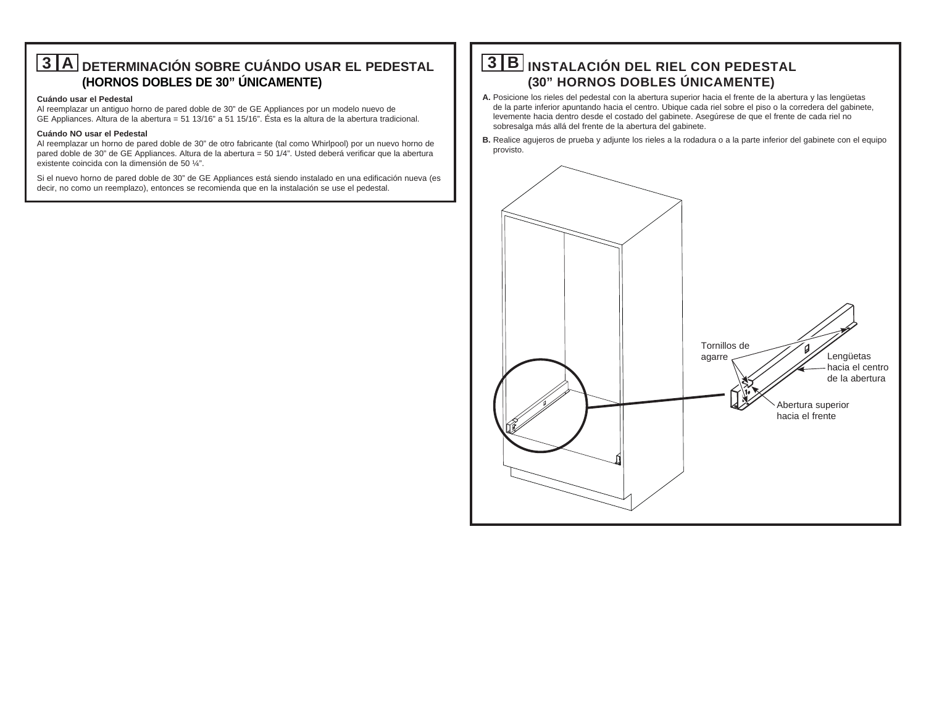## **3 A DETERMINACIÓN SOBRE CUÁNDO USAR EL PEDESTAL (HORNOS DOBLES DE 30" ÚNICAMENTE)**

#### **Cuándo usar el Pedestal**

Al reemplazar un antiguo horno de pared doble de 30" de GE Appliances por un modelo nuevo de GE Appliances. Altura de la abertura = 51 13/16" a 51 15/16". Ésta es la altura de la abertura tradicional.

#### **Cuándo NO usar el Pedestal**

Al reemplazar un horno de pared doble de 30" de otro fabricante (tal como Whirlpool) por un nuevo horno de pared doble de 30" de GE Appliances. Altura de la abertura = 50 1/4". Usted deberá verificar que la abertura existente coincida con la dimensión de 50 ¼".

Si el nuevo horno de pared doble de 30" de GE Appliances está siendo instalado en una edificación nueva (es decir, no como un reemplazo), entonces se recomienda que en la instalación se use el pedestal.

## **3 B INSTALACIÓN DEL RIEL CON PEDESTAL (30" HORNOS DOBLES ÚNICAMENTE)**

- **A.** Posicione los rieles del pedestal con la abertura superior hacia el frente de la abertura y las lengüetas de la parte inferior apuntando hacia el centro. Ubique cada riel sobre el piso o la corredera del gabinete, levemente hacia dentro desde el costado del gabinete. Asegúrese de que el frente de cada riel no sobresalga más allá del frente de la abertura del gabinete.
- **B.** Realice agujeros de prueba y adjunte los rieles a la rodadura o a la parte inferior del gabinete con el equipo provisto.

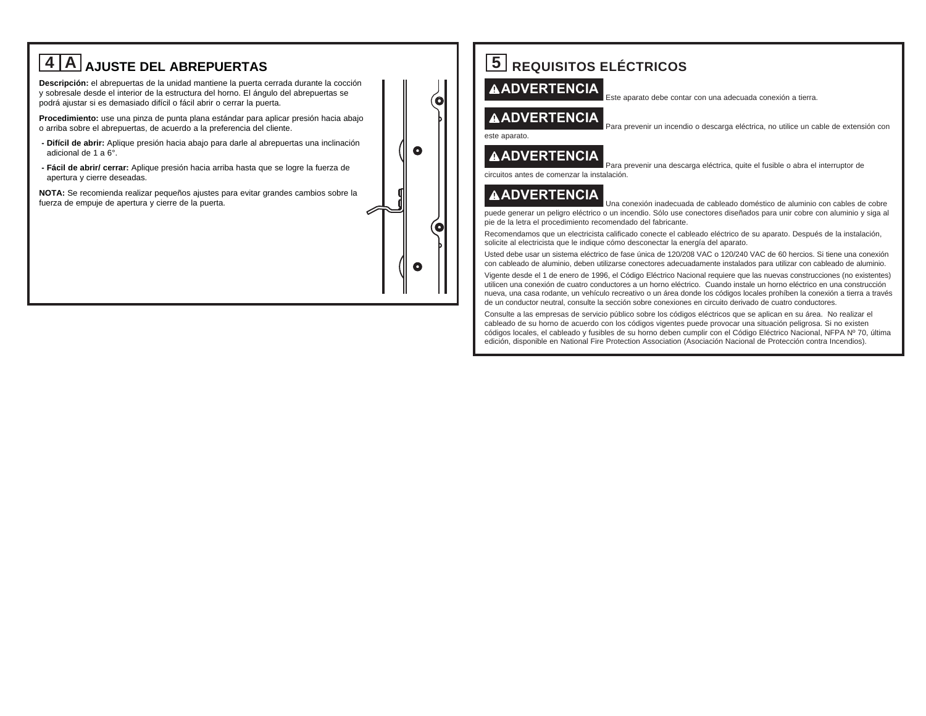

# **5 REQUISITOS ELÉCTRICOS**

#### **ADVERTENCIA**

Este aparato debe contar con una adecuada conexión a tierra.

Para prevenir un incendio o descarga eléctrica, no utilice un cable de extensión con

#### **ADVERTENCIA**

 Para prevenir una descarga eléctrica, quite el fusible o abra el interruptor de circuitos antes de comenzar la instalación.

#### **ADVERTENCIA**

 Una conexión inadecuada de cableado doméstico de aluminio con cables de cobre puede generar un peligro eléctrico o un incendio. Sólo use conectores diseñados para unir cobre con aluminio y siga al pie de la letra el procedimiento recomendado del fabricante.

Recomendamos que un electricista calificado conecte el cableado eléctrico de su aparato. Después de la instalación, solicite al electricista que le indique cómo desconectar la energía del aparato.

Usted debe usar un sistema eléctrico de fase única de 120/208 VAC o 120/240 VAC de 60 hercios. Si tiene una conexión con cableado de aluminio, deben utilizarse conectores adecuadamente instalados para utilizar con cableado de aluminio.

Vigente desde el 1 de enero de 1996, el Código Eléctrico Nacional requiere que las nuevas construcciones (no existentes) utilicen una conexión de cuatro conductores a un horno eléctrico. Cuando instale un horno eléctrico en una construcción nueva, una casa rodante, un vehículo recreativo o un área donde los códigos locales prohíben la conexión a tierra a través de un conductor neutral, consulte la sección sobre conexiones en circuito derivado de cuatro conductores.

Consulte a las empresas de servicio público sobre los códigos eléctricos que se aplican en su área. No realizar el cableado de su horno de acuerdo con los códigos vigentes puede provocar una situación peligrosa. Si no existen códigos locales, el cableado y fusibles de su horno deben cumplir con el Código Eléctrico Nacional, NFPA Nº 70, última edición, disponible en National Fire Protection Association (Asociación Nacional de Protección contra Incendios).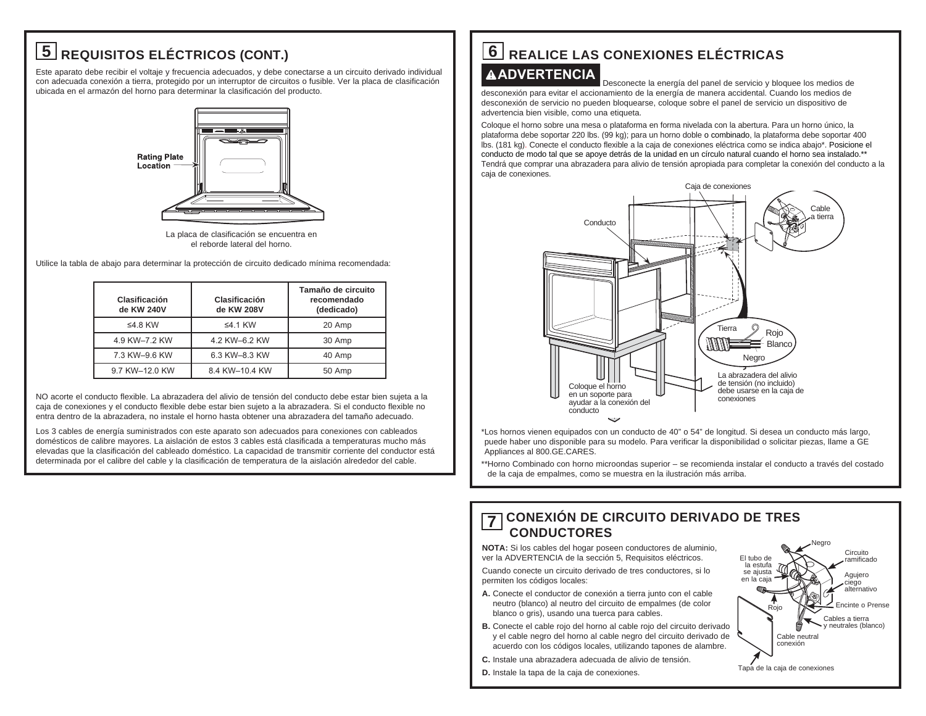# **5 REQUISITOS ELÉCTRICOS (CONT.)**

Este aparato debe recibir el voltaje y frecuencia adecuados, y debe conectarse a un circuito derivado individual con adecuada conexión a tierra, protegido por un interruptor de circuitos o fusible. Ver la placa de clasificación ubicada en el armazón del horno para determinar la clasificación del producto.



La placa de clasificación se encuentra en el reborde lateral del horno.

Utilice la tabla de abajo para determinar la protección de circuito dedicado mínima recomendada:

| Clasificación<br>de KW 240V | Clasificación<br>de KW 208V | Tamaño de circuito<br>recomendado<br>(dedicado) |
|-----------------------------|-----------------------------|-------------------------------------------------|
| ≤4.8 KW                     | $\leq$ 4.1 KW               | 20 Amp                                          |
| 4.9 KW-7.2 KW               | 4.2 KW-6.2 KW               | 30 Amp                                          |
| 7.3 KW-9.6 KW               | 6.3 KW-8.3 KW               | 40 Amp                                          |
| 9.7 KW-12.0 KW              | 8.4 KW-10.4 KW              | 50 Amp                                          |

NO acorte el conducto flexible. La abrazadera del alivio de tensión del conducto debe estar bien sujeta a la caja de conexiones y el conducto flexible debe estar bien sujeto a la abrazadera. Si el conducto flexible no entra dentro de la abrazadera, no instale el horno hasta obtener una abrazadera del tamaño adecuado.

Los 3 cables de energía suministrados con este aparato son adecuados para conexiones con cableados domésticos de calibre mayores. La aislación de estos 3 cables está clasificada a temperaturas mucho más elevadas que la clasificación del cableado doméstico. La capacidad de transmitir corriente del conductor está determinada por el calibre del cable y la clasificación de temperatura de la aislación alrededor del cable.

# **6 REALICE LAS CONEXIONES ELÉCTRICAS**

#### **ADVERTENCIA**

 Desconecte la energía del panel de servicio y bloquee los medios de desconexión para evitar el accionamiento de la energía de manera accidental. Cuando los medios de desconexión de servicio no pueden bloquearse, coloque sobre el panel de servicio un dispositivo de advertencia bien visible, como una etiqueta.

Coloque el horno sobre una mesa o plataforma en forma nivelada con la abertura. Para un horno único, la plataforma debe soportar 220 lbs. (99 kg); para un horno doble o combinado, la plataforma debe soportar 400 lbs. (181 kg). Conecte el conducto flexible a la caja de conexiones eléctrica como se indica abajo\*. Posicione el conducto de modo tal que se apoye detrás de la unidad en un círculo natural cuando el horno sea instalado.\*\* Tendrá que comprar una abrazadera para alivio de tensión apropiada para completar la conexión del conducto a la caja de conexiones.



\* Los hornos vienen equipados con un conducto de 40" o 54" de longitud. Si desea un conducto más largo, puede haber uno disponible para su modelo. Para verificar la disponibilidad o solicitar piezas, llame a GE Appliances al 800.GE.CARES.

\* \* Horno Combinado con horno microondas superior – se recomienda instalar el conducto a través del costado de la caja de empalmes, como se muestra en la ilustración más arriba.

### **7 CONEXIÓN DE CIRCUITO DERIVADO DE TRES CONDUCTORES**

**NOTA:** Si los cables del hogar poseen conductores de aluminio, ver la ADVERTENCIA de la sección 5, Requisitos eléctricos.

Cuando conecte un circuito derivado de tres conductores, si lo permiten los códigos locales:

- **A.** Conecte el conductor de conexión a tierra junto con el cable neutro (blanco) al neutro del circuito de empalmes (de color blanco o gris), usando una tuerca para cables.
- **B.** Conecte el cable rojo del horno al cable rojo del circuito derivado y el cable negro del horno al cable negro del circuito derivado de acuerdo con los códigos locales, utilizando tapones de alambre.
- **C.** Instale una abrazadera adecuada de alivio de tensión.
- **D.** Instale la tapa de la caja de conexiones.

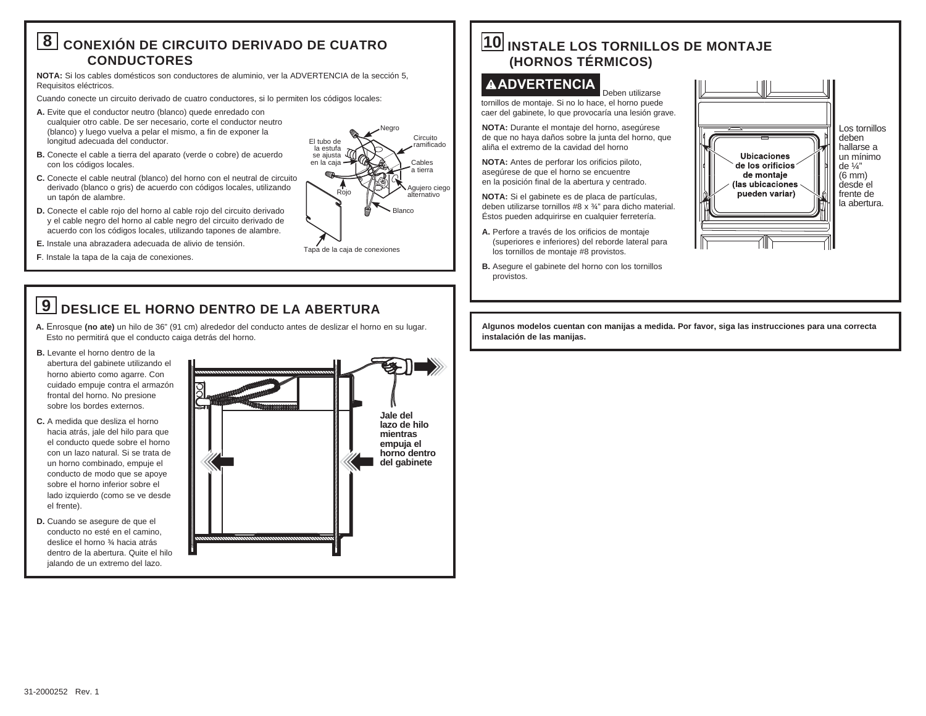## **8 CONEXIÓN DE CIRCUITO DERIVADO DE CUATRO CONDUCTORES**

**NOTA:** Si los cables domésticos son conductores de aluminio, ver la ADVERTENCIA de la sección 5, Requisitos eléctricos.

Cuando conecte un circuito derivado de cuatro conductores, si lo permiten los códigos locales:

- **A.** Evite que el conductor neutro (blanco) quede enredado con cualquier otro cable. De ser necesario, corte el conductor neutro (blanco) y luego vuelva a pelar el mismo, a fin de exponer la longitud adecuada del conductor.
- **B.** Conecte el cable a tierra del aparato (verde o cobre) de acuerdo con los códigos locales.
- **C.** Conecte el cable neutral (blanco) del horno con el neutral de circuito derivado (blanco o gris) de acuerdo con códigos locales, utilizando un tapón de alambre.
- **D.** Conecte el cable rojo del horno al cable rojo del circuito derivado y el cable negro del horno al cable negro del circuito derivado de acuerdo con los códigos locales, utilizando tapones de alambre.
- **E.** Instale una abrazadera adecuada de alivio de tensión.
- **F**. Instale la tapa de la caja de conexiones.

## **9 DESLICE EL HORNO DENTRO DE LA ABERTURA**

**A.** Enrosque **(no ate)** un hilo de 36" (91 cm) alrededor del conducto antes de deslizar el horno en su lugar. Esto no permitirá que el conducto caiga detrás del horno.

- **B.** Levante el horno dentro de la
- abertura del gabinete utilizando el horno abierto como agarre. Con cuidado empuje contra el armazón frontal del horno. No presione sobre los bordes externos.
- **C.** A medida que desliza el horno hacia atrás, jale del hilo para que el conducto quede sobre el horno con un lazo natural. Si se trata de un horno combinado, empuje el conducto de modo que se apoye sobre el horno inferior sobre el lado izquierdo (como se ve desde el frente).
- **D.** Cuando se asegure de que el conducto no esté en el camino, deslice el horno ¾ hacia atrás dentro de la abertura. Quite el hilo jalando de un extremo del lazo.



Tapa de la caja de conexiones

Rojo

El tubo de la estufa se aiusta en la caja

**Blanco** 

Negro

Circuito ramificado Cables a tierra Agujero ciego alternativo

## **10 INSTALE LOS TORNILLOS DE MONTAJE (HORNOS TÉRMICOS)**

#### **ADVERTENCIA**

Deben utilizarse tornillos de montaje. Si no lo hace, el horno puede caer del gabinete, lo que provocaría una lesión grave.

**NOTA:** Durante el montaje del horno, asegúrese de que no haya daños sobre la junta del horno, que aliña el extremo de la cavidad del horno

**NOTA:** Antes de perforar los orificios piloto, asegúrese de que el horno se encuentre en la posición final de la abertura y centrado.

**NOTA:** Si el gabinete es de placa de partículas, deben utilizarse tornillos #8 x ¾" para dicho material. Éstos pueden adquirirse en cualquier ferretería.

- **A.** Perfore a través de los orificios de montaje (superiores e inferiores) del reborde lateral para los tornillos de montaje #8 provistos.
- **B.** Asegure el gabinete del horno con los tornillos provistos.



**Algunos modelos cuentan con manijas a medida. Por favor, siga las instrucciones para una correcta instalación de las manijas.**